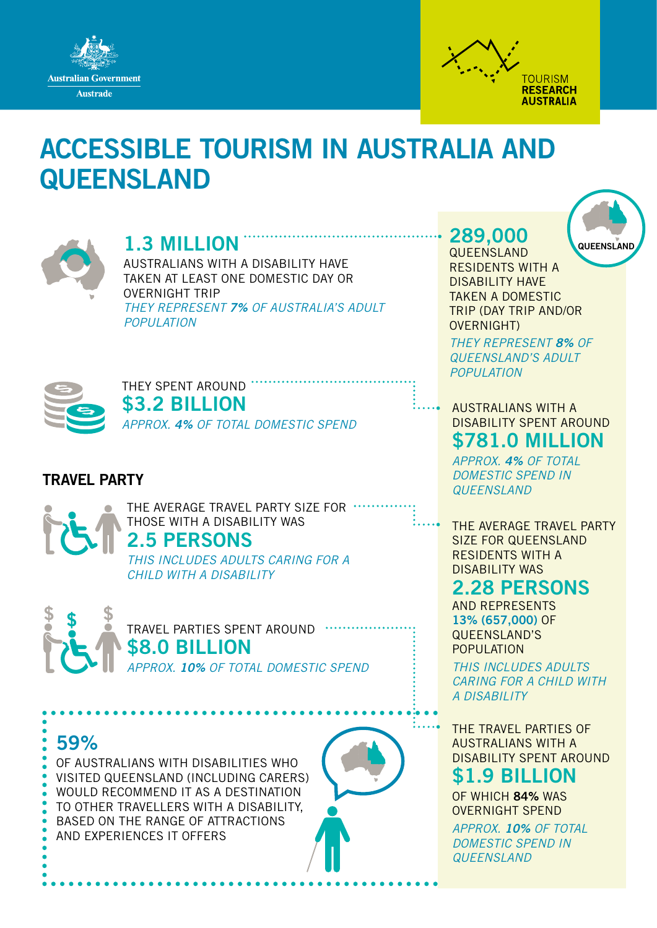



# ACCESSIBLE TOURISM IN AUSTRALIA AND **QUEENSLAND**



## 1.3 MILLION

AUSTRALIANS WITH A DISABILITY HAVE TAKEN AT LEAST ONE DOMESTIC DAY OR OVERNIGHT TRIP *THEY REPRESENT 7% OF AUSTRALIA'S ADULT POPULATION*



THEY SPENT AROUND. \$3.2 BILLION

*APPROX. 4% OF TOTAL DOMESTIC SPEND*

## TRAVEL PARTY

THE AVERAGE TRAVEL PARTY SIZE FOR THOSE WITH A DISABILITY WAS

## 2.5 PERSONS

*THIS INCLUDES ADULTS CARING FOR A CHILD WITH A DISABILITY*



TRAVEL PARTIES SPENT AROUND **\$8.0 BILLION** *APPROX. 10% OF TOTAL DOMESTIC SPEND*

59%

OF AUSTRALIANS WITH DISABILITIES WHO VISITED QUEENSLAND (INCLUDING CARERS) WOULD RECOMMEND IT AS A DESTINATION TO OTHER TRAVELLERS WITH A DISABILITY, BASED ON THE RANGE OF ATTRACTIONS AND EXPERIENCES IT OFFERS



## 289,000

**QUEENSLAND** RESIDENTS WITH A DISABILITY HAVE TAKEN A DOMESTIC TRIP (DAY TRIP AND/OR OVERNIGHT)

*THEY REPRESENT 8% OF QUEENSLAND'S ADULT POPULATION*

AUSTRALIANS WITH A DISABILITY SPENT AROUND \$781.0 MILLION

*APPROX. 4% OF TOTAL DOMESTIC SPEND IN QUEENSLAND*

THE AVERAGE TRAVEL PARTY SIZE FOR QUEENSLAND RESIDENTS WITH A DISABILITY WAS

## 2.28 PERSONS

AND REPRESENTS 13% (657,000) OF QUEENSLAND'S POPULATION

*THIS INCLUDES ADULTS CARING FOR A CHILD WITH A DISABILITY*

THE TRAVEL PARTIES OF AUSTRALIANS WITH A DISABILITY SPENT AROUND

## \$1.9 BILLION

OF WHICH 84% WAS OVERNIGHT SPEND

*APPROX. 10% OF TOTAL DOMESTIC SPEND IN QUEENSLAND*